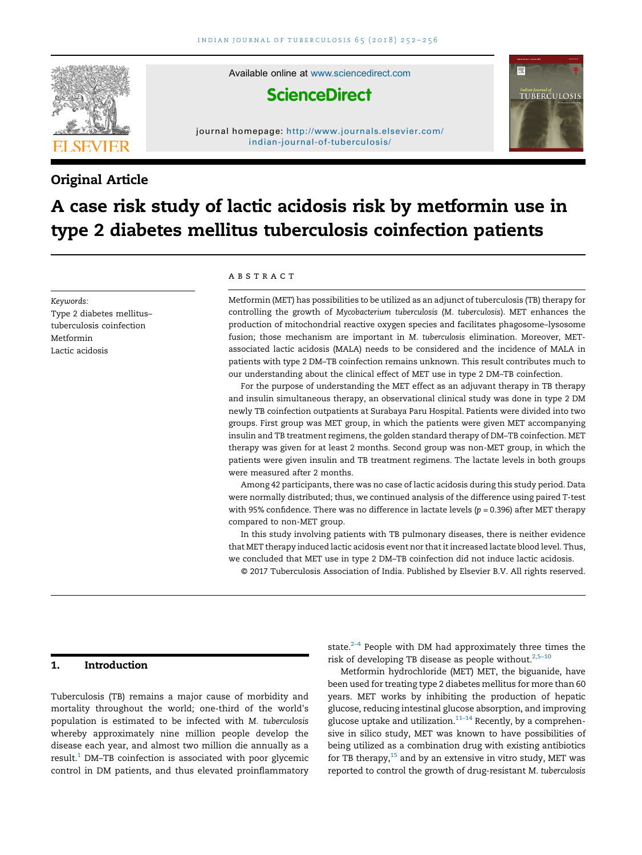

Available online at [www.sciencedirect.com](http://www.sciencedirect.com/science/journal/00195707)

# **ScienceDirect**

journal homepage: [http://www.journals.elsevier.com/](http://www.journals.elsevier.com/indian-journal-of-tuberculosis/) [indian-journal-of-tuberculosis/](http://www.journals.elsevier.com/indian-journal-of-tuberculosis/)

## Original Article

# *TUBERCULOSIS*

# A case risk study of lactic acidosis risk by metformin use in type 2 diabetes mellitus tuberculosis coinfection patients

Keywords: Type 2 diabetes mellitus– tuberculosis coinfection Metformin Lactic acidosis

#### **ABSTRACT**

Metformin (MET) has possibilities to be utilized as an adjunct of tuberculosis (TB) therapy for controlling the growth of Mycobacterium tuberculosis (M. tuberculosis). MET enhances the production of mitochondrial reactive oxygen species and facilitates phagosome–lysosome fusion; those mechanism are important in M. tuberculosis elimination. Moreover, METassociated lactic acidosis (MALA) needs to be considered and the incidence of MALA in patients with type 2 DM–TB coinfection remains unknown. This result contributes much to our understanding about the clinical effect of MET use in type 2 DM–TB coinfection.

For the purpose of understanding the MET effect as an adjuvant therapy in TB therapy and insulin simultaneous therapy, an observational clinical study was done in type 2 DM newly TB coinfection outpatients at Surabaya Paru Hospital. Patients were divided into two groups. First group was MET group, in which the patients were given MET accompanying insulin and TB treatment regimens, the golden standard therapy of DM–TB coinfection. MET therapy was given for at least 2 months. Second group was non-MET group, in which the patients were given insulin and TB treatment regimens. The lactate levels in both groups were measured after 2 months.

Among 42 participants, there was no case of lactic acidosis during this study period. Data were normally distributed; thus, we continued analysis of the difference using paired T-test with 95% confidence. There was no difference in lactate levels ( $p = 0.396$ ) after MET therapy compared to non-MET group.

In this study involving patients with TB pulmonary diseases, there is neither evidence that MET therapy induced lactic acidosis event nor that it increased lactate blood level. Thus, we concluded that MET use in type 2 DM–TB coinfection did not induce lactic acidosis.

### © 2017 Tuberculosis Association of India. Published by Elsevier B.V. All rights reserved.

#### 1. Introduction

Tuberculosis (TB) remains a major cause of morbidity and mortality throughout the world; one-third of the world's population is estimated to be infected with M. tuberculosis whereby approximately nine million people develop the disease each year, and almost two million die annually as a  $result<sup>1</sup>$  $result<sup>1</sup>$  $result<sup>1</sup>$  DM-TB coinfection is associated with poor glycemic control in DM patients, and thus elevated proinflammatory

state. $2-4$  People with DM had approximately three times the risk of developing TB disease as people without. $2,5-10$  $2,5-10$ 

Metformin hydrochloride (MET) MET, the biguanide, have been used for treating type 2 diabetes mellitus for more than 60 years. MET works by inhibiting the production of hepatic glucose, reducing intestinal glucose absorption, and improving glucose uptake and utilization. $11-14$  $11-14$  Recently, by a comprehensive in silico study, MET was known to have possibilities of being utilized as a combination drug with existing antibiotics for TB therapy, $15$  and by an extensive in vitro study, MET was reported to control the growth of drug-resistant M. tuberculosis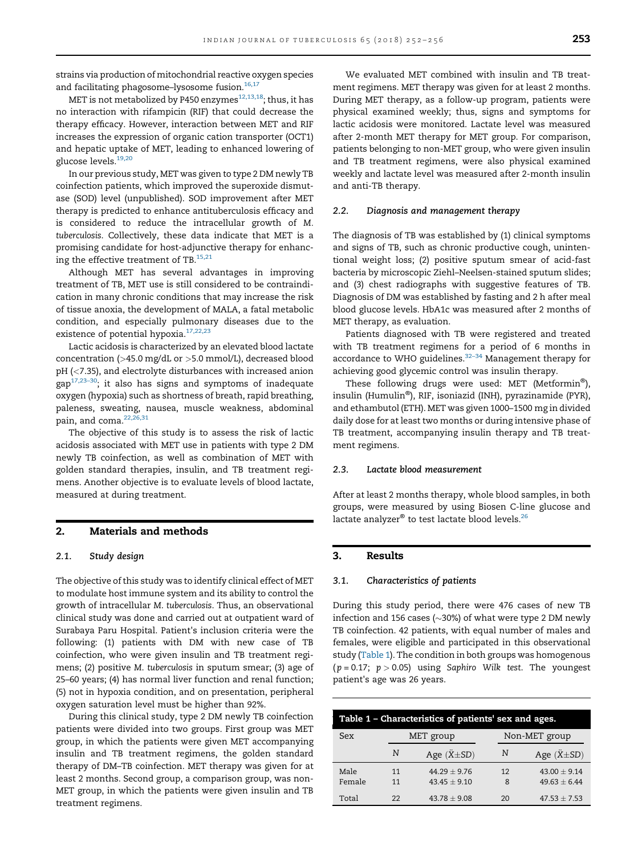strains via production of mitochondrial reactive oxygen species and facilitating phagosome-lysosome fusion.<sup>16,17</sup>

MET is not metabolized by P450 enzymes<sup>12,13,18</sup>; thus, it has no interaction with rifampicin (RIF) that could decrease the therapy efficacy. However, interaction between MET and RIF increases the expression of organic cation transporter (OCT1) and hepatic uptake of MET, leading to enhanced lowering of glucose levels[.19,20](#page-3-0)

In our previous study, MET was given to type 2 DM newly TB coinfection patients, which improved the superoxide dismutase (SOD) level (unpublished). SOD improvement after MET therapy is predicted to enhance antituberculosis efficacy and is considered to reduce the intracellular growth of M. tuberculosis. Collectively, these data indicate that MET is a promising candidate for host-adjunctive therapy for enhancing the effective treatment of  $TB$ .<sup>15,21</sup>

Although MET has several advantages in improving treatment of TB, MET use is still considered to be contraindication in many chronic conditions that may increase the risk of tissue anoxia, the development of MALA, a fatal metabolic condition, and especially pulmonary diseases due to the existence of potential hypoxia.<sup>[17,22,23](#page-3-0)</sup>

Lactic acidosis is characterized by an elevated blood lactate concentration (>45.0 mg/dL or >5.0 mmol/L), decreased blood pH (<7.35), and electrolyte disturbances with increased anion  $gap^{17,23-30}$  $gap^{17,23-30}$  $gap^{17,23-30}$ ; it also has signs and symptoms of inadequate oxygen (hypoxia) such as shortness of breath, rapid breathing, paleness, sweating, nausea, muscle weakness, abdominal pain, and coma.<sup>[22,26,31](#page-3-0)</sup>

The objective of this study is to assess the risk of lactic acidosis associated with MET use in patients with type 2 DM newly TB coinfection, as well as combination of MET with golden standard therapies, insulin, and TB treatment regimens. Another objective is to evaluate levels of blood lactate, measured at during treatment.

#### 2. Materials and methods

#### 2.1. Study design

The objective of this study was to identify clinical effect of MET to modulate host immune system and its ability to control the growth of intracellular M. tuberculosis. Thus, an observational clinical study was done and carried out at outpatient ward of Surabaya Paru Hospital. Patient's inclusion criteria were the following: (1) patients with DM with new case of TB coinfection, who were given insulin and TB treatment regimens; (2) positive M. tuberculosis in sputum smear; (3) age of 25–60 years; (4) has normal liver function and renal function; (5) not in hypoxia condition, and on presentation, peripheral oxygen saturation level must be higher than 92%.

During this clinical study, type 2 DM newly TB coinfection patients were divided into two groups. First group was MET group, in which the patients were given MET accompanying insulin and TB treatment regimens, the golden standard therapy of DM–TB coinfection. MET therapy was given for at least 2 months. Second group, a comparison group, was non-MET group, in which the patients were given insulin and TB treatment regimens.

We evaluated MET combined with insulin and TB treatment regimens. MET therapy was given for at least 2 months. During MET therapy, as a follow-up program, patients were physical examined weekly; thus, signs and symptoms for lactic acidosis were monitored. Lactate level was measured after 2-month MET therapy for MET group. For comparison, patients belonging to non-MET group, who were given insulin and TB treatment regimens, were also physical examined weekly and lactate level was measured after 2-month insulin and anti-TB therapy.

#### 2.2. Diagnosis and management therapy

The diagnosis of TB was established by (1) clinical symptoms and signs of TB, such as chronic productive cough, unintentional weight loss; (2) positive sputum smear of acid-fast bacteria by microscopic Ziehl–Neelsen-stained sputum slides; and (3) chest radiographs with suggestive features of TB. Diagnosis of DM was established by fasting and 2 h after meal blood glucose levels. HbA1c was measured after 2 months of MET therapy, as evaluation.

Patients diagnosed with TB were registered and treated with TB treatment regimens for a period of 6 months in accordance to WHO guidelines.<sup>32–34</sup> Management therapy for achieving good glycemic control was insulin therapy.

These following drugs were used: MET (Metformin®), insulin (Humulin®), RIF, isoniazid (INH), pyrazinamide (PYR), and ethambutol (ETH). MET was given 1000–1500 mg in divided daily dose for at least two months or during intensive phase of TB treatment, accompanying insulin therapy and TB treatment regimens.

#### 2.3. Lactate blood measurement

After at least 2 months therapy, whole blood samples, in both groups, were measured by using Biosen C-line glucose and lactate analyzer® to test lactate blood levels.<sup>26</sup>

#### 3. Results

#### 3.1. Characteristics of patients

During this study period, there were 476 cases of new TB infection and 156 cases ( $\sim$ 30%) of what were type 2 DM newly TB coinfection. 42 patients, with equal number of males and females, were eligible and participated in this observational study (Table 1). The condition in both groups was homogenous ( $p = 0.17$ ;  $p > 0.05$ ) using Saphiro Wilk test. The youngest patient's age was 26 years.

| Table 1 - Characteristics of patients' sex and ages. |           |                         |               |                         |  |  |  |
|------------------------------------------------------|-----------|-------------------------|---------------|-------------------------|--|--|--|
| Sex                                                  | MET group |                         | Non-MET group |                         |  |  |  |
|                                                      | N         | Age $(\ddot{X} \pm SD)$ | N             | Age $(\ddot{X} \pm SD)$ |  |  |  |
| Male                                                 | 11        | $44.29 + 9.76$          | 12            | $43.00 \pm 9.14$        |  |  |  |
| Female                                               | 11        | $43.45 + 9.10$          | 8             | $49.63 + 6.44$          |  |  |  |
| Total                                                | 22        | $43.78 \pm 9.08$        | 20            | $47.53 \pm 7.53$        |  |  |  |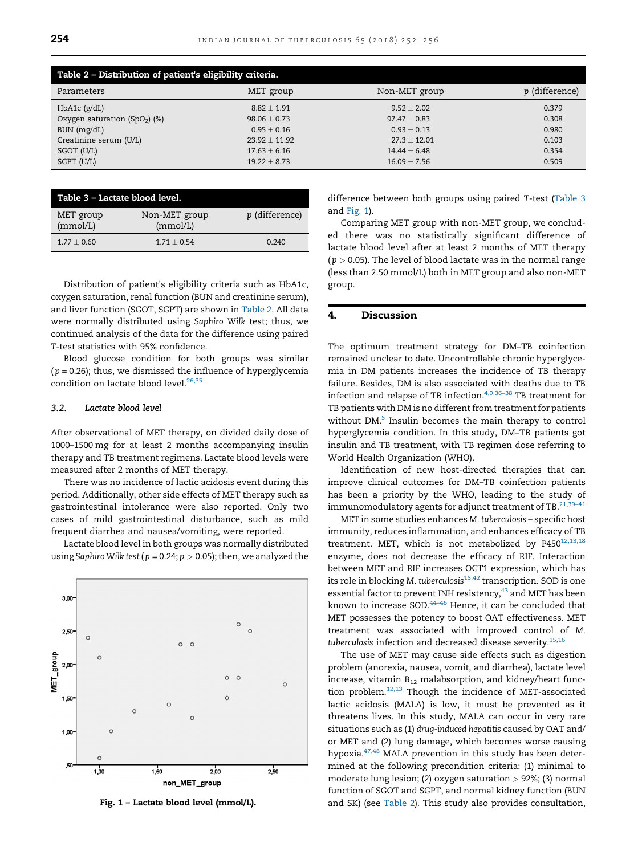<span id="page-2-0"></span>

| Table 2 - Distribution of patient's eligibility criteria. |                  |                  |                       |  |  |
|-----------------------------------------------------------|------------------|------------------|-----------------------|--|--|
| Parameters                                                | MET group        | Non-MET group    | <i>p</i> (difference) |  |  |
| HbA1c (g/dL)                                              | $8.82 \pm 1.91$  | $9.52 \pm 2.02$  | 0.379                 |  |  |
| Oxygen saturation (SpO <sub>2</sub> ) (%)                 | $98.06 \pm 0.73$ | $97.47 + 0.83$   | 0.308                 |  |  |
| BUN (mg/dL)                                               | $0.95 + 0.16$    | $0.93 + 0.13$    | 0.980                 |  |  |
| Creatinine serum (U/L)                                    | $23.92 + 11.92$  | $27.3 + 12.01$   | 0.103                 |  |  |
| SGOT (U/L)                                                | $17.63 + 6.16$   | $14.44 + 6.48$   | 0.354                 |  |  |
| SGPT (U/L)                                                | $19.22 \pm 8.73$ | $16.09 \pm 7.56$ | 0.509                 |  |  |

| Table 3 - Lactate blood level. |                           |                       |  |  |  |
|--------------------------------|---------------------------|-----------------------|--|--|--|
| MET group<br>(mmol/L)          | Non-MET group<br>(mmol/L) | <i>p</i> (difference) |  |  |  |
| $1.77 + 0.60$                  | $1.71 + 0.54$             | 0.240                 |  |  |  |

Distribution of patient's eligibility criteria such as HbA1c, oxygen saturation, renal function (BUN and creatinine serum), and liver function (SGOT, SGPT) are shown in Table 2. All data were normally distributed using Saphiro Wilk test; thus, we continued analysis of the data for the difference using paired T-test statistics with 95% confidence.

Blood glucose condition for both groups was similar  $(p = 0.26)$ ; thus, we dismissed the influence of hyperglycemia condition on lactate blood level.<sup>26,35</sup>

#### 3.2. Lactate blood level

After observational of MET therapy, on divided daily dose of 1000–1500 mg for at least 2 months accompanying insulin therapy and TB treatment regimens. Lactate blood levels were measured after 2 months of MET therapy.

There was no incidence of lactic acidosis event during this period. Additionally, other side effects of MET therapy such as gastrointestinal intolerance were also reported. Only two cases of mild gastrointestinal disturbance, such as mild frequent diarrhea and nausea/vomiting, were reported.

Lactate blood level in both groups was normally distributed using Saphiro Wilk test ( $p = 0.24; p > 0.05$ ); then, we analyzed the



Fig. 1 – Lactate blood level (mmol/L).

difference between both groups using paired T-test (Table 3 and Fig. 1).

Comparing MET group with non-MET group, we concluded there was no statistically significant difference of lactate blood level after at least 2 months of MET therapy  $(p > 0.05)$ . The level of blood lactate was in the normal range (less than 2.50 mmol/L) both in MET group and also non-MET group.

#### 4. Discussion

The optimum treatment strategy for DM–TB coinfection remained unclear to date. Uncontrollable chronic hyperglycemia in DM patients increases the incidence of TB therapy failure. Besides, DM is also associated with deaths due to TB infection and relapse of TB infection.<sup>4,9,36-38</sup> TB treatment for TB patients with DM is no different from treatment for patients without DM.<sup>5</sup> Insulin becomes the main therapy to control hyperglycemia condition. In this study, DM–TB patients got insulin and TB treatment, with TB regimen dose referring to World Health Organization (WHO).

Identification of new host-directed therapies that can improve clinical outcomes for DM–TB coinfection patients has been a priority by the WHO, leading to the study of immunomodulatory agents for adjunct treatment of TB. $21,39-41$ 

MET in some studies enhances M. tuberculosis – specific host immunity, reduces inflammation, and enhances efficacy of TB treatment. MET, which is not metabolized by  $P450^{12,13,18}$ enzyme, does not decrease the efficacy of RIF. Interaction between MET and RIF increases OCT1 expression, which has its role in blocking M. tuberculosis<sup>[15,42](#page-3-0)</sup> transcription. SOD is one essential factor to prevent INH resistency,  $43$  and MET has been known to increase SOD.[44](#page-4-0)–<sup>46</sup> Hence, it can be concluded that MET possesses the potency to boost OAT effectiveness. MET treatment was associated with improved control of M. tuberculosis infection and decreased disease severity. $^{15,16}$  $^{15,16}$  $^{15,16}$ 

The use of MET may cause side effects such as digestion problem (anorexia, nausea, vomit, and diarrhea), lactate level increase, vitamin  $B_{12}$  malabsorption, and kidney/heart function problem.[12,13](#page-3-0) Though the incidence of MET-associated lactic acidosis (MALA) is low, it must be prevented as it threatens lives. In this study, MALA can occur in very rare situations such as (1) drug-induced hepatitis caused by OAT and/ or MET and (2) lung damage, which becomes worse causing hypoxia.[47,48](#page-4-0) MALA prevention in this study has been determined at the following precondition criteria: (1) minimal to moderate lung lesion; (2) oxygen saturation  $>$  92%; (3) normal function of SGOT and SGPT, and normal kidney function (BUN and SK) (see Table 2). This study also provides consultation,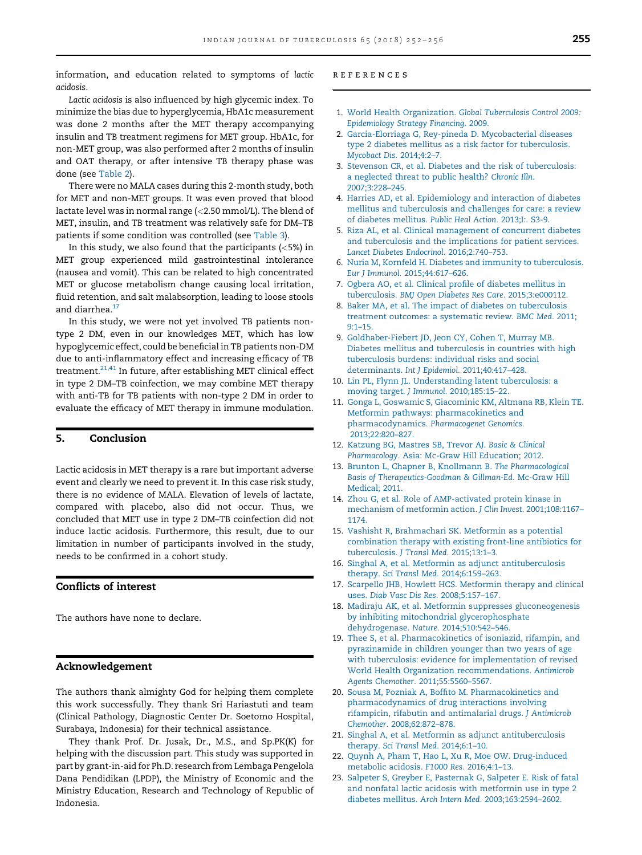<span id="page-3-0"></span>information, and education related to symptoms of lactic acidosis.

Lactic acidosis is also influenced by high glycemic index. To minimize the bias due to hyperglycemia, HbA1c measurement was done 2 months after the MET therapy accompanying insulin and TB treatment regimens for MET group. HbA1c, for non-MET group, was also performed after 2 months of insulin and OAT therapy, or after intensive TB therapy phase was done (see [Table 2](#page-2-0)).

There were no MALA cases during this 2-month study, both for MET and non-MET groups. It was even proved that blood lactate level was in normal range (<2.50 mmol/L). The blend of MET, insulin, and TB treatment was relatively safe for DM–TB patients if some condition was controlled (see [Table 3](#page-2-0)).

In this study, we also found that the participants  $(<5\%)$  in MET group experienced mild gastrointestinal intolerance (nausea and vomit). This can be related to high concentrated MET or glucose metabolism change causing local irritation, fluid retention, and salt malabsorption, leading to loose stools and diarrhea.<sup>17</sup>

In this study, we were not yet involved TB patients nontype 2 DM, even in our knowledges MET, which has low hypoglycemic effect, could be beneficial in TB patients non-DM due to anti-inflammatory effect and increasing efficacy of TB treatment.<sup>21,41</sup> In future, after establishing MET clinical effect in type 2 DM–TB coinfection, we may combine MET therapy with anti-TB for TB patients with non-type 2 DM in order to evaluate the efficacy of MET therapy in immune modulation.

#### 5. Conclusion

Lactic acidosis in MET therapy is a rare but important adverse event and clearly we need to prevent it. In this case risk study, there is no evidence of MALA. Elevation of levels of lactate, compared with placebo, also did not occur. Thus, we concluded that MET use in type 2 DM–TB coinfection did not induce lactic acidosis. Furthermore, this result, due to our limitation in number of participants involved in the study, needs to be confirmed in a cohort study.

#### Conflicts of interest

The authors have none to declare.

#### Acknowledgement

The authors thank almighty God for helping them complete this work successfully. They thank Sri Hariastuti and team (Clinical Pathology, Diagnostic Center Dr. Soetomo Hospital, Surabaya, Indonesia) for their technical assistance.

They thank Prof. Dr. Jusak, Dr., M.S., and Sp.PK(K) for helping with the discussion part. This study was supported in part by grant-in-aid for Ph.D. research from Lembaga Pengelola Dana Pendidikan (LPDP), the Ministry of Economic and the Ministry Education, Research and Technology of Republic of Indonesia.

#### references

- 1. World Health Organization. [Global Tuberculosis Control 2009:](http://refhub.elsevier.com/S0019-5707(17)30050-1/sbref0245) [Epidemiology Strategy Financing](http://refhub.elsevier.com/S0019-5707(17)30050-1/sbref0245). 2009.
- 2. [Garcia-Elorriaga G, Rey-pineda D. Mycobacterial](http://refhub.elsevier.com/S0019-5707(17)30050-1/sbref0250) diseases [type 2 diabetes mellitus as a risk factor for tuberculosis.](http://refhub.elsevier.com/S0019-5707(17)30050-1/sbref0250) [Mycobact Dis.](http://refhub.elsevier.com/S0019-5707(17)30050-1/sbref0250) 2014;4:2–7.
- 3. [Stevenson CR, et al. Diabetes and the risk of tuberculosis:](http://refhub.elsevier.com/S0019-5707(17)30050-1/sbref0255) [a neglected threat to public health?](http://refhub.elsevier.com/S0019-5707(17)30050-1/sbref0255) Chronic Illn. [2007;3:228](http://refhub.elsevier.com/S0019-5707(17)30050-1/sbref0255)–245.
- 4. [Harries AD, et al. Epidemiology and interaction of diabetes](http://refhub.elsevier.com/S0019-5707(17)30050-1/sbref0260) [mellitus and tuberculosis and challenges for care: a review](http://refhub.elsevier.com/S0019-5707(17)30050-1/sbref0260) [of diabetes mellitus.](http://refhub.elsevier.com/S0019-5707(17)30050-1/sbref0260) Public Heal Action. 2013;I:. S3-9.
- 5. [Riza AL, et al. Clinical management of concurrent diabetes](http://refhub.elsevier.com/S0019-5707(17)30050-1/sbref0265) and tuberculosis and the [implications for patient services.](http://refhub.elsevier.com/S0019-5707(17)30050-1/sbref0265) [Lancet Diabetes Endocrinol.](http://refhub.elsevier.com/S0019-5707(17)30050-1/sbref0265) 2016;2:740–753.
- 6. [Nuria M, Kornfeld H. Diabetes and immunity to tuberculosis.](http://refhub.elsevier.com/S0019-5707(17)30050-1/sbref0270) [Eur J Immunol.](http://refhub.elsevier.com/S0019-5707(17)30050-1/sbref0270) 2015;44:617–626.
- 7. [Ogbera AO, et al. Clinical pro](http://refhub.elsevier.com/S0019-5707(17)30050-1/sbref0275)file of diabetes mellitus in tuberculosis. [BMJ Open Diabetes Res Care.](http://refhub.elsevier.com/S0019-5707(17)30050-1/sbref0275) 2015;3:e000112.
- 8. [Baker MA, et al. The impact of diabetes on tuberculosis](http://refhub.elsevier.com/S0019-5707(17)30050-1/sbref0280) [treatment outcomes:](http://refhub.elsevier.com/S0019-5707(17)30050-1/sbref0280) a systematic review. BMC Med. 2011; [9:1](http://refhub.elsevier.com/S0019-5707(17)30050-1/sbref0280)–15.
- 9. [Goldhaber-Fiebert JD, Jeon CY, Cohen T, Murray MB.](http://refhub.elsevier.com/S0019-5707(17)30050-1/sbref0285) [Diabetes mellitus and tuberculosis in countries with high](http://refhub.elsevier.com/S0019-5707(17)30050-1/sbref0285) [tuberculosis burdens: individual risks and social](http://refhub.elsevier.com/S0019-5707(17)30050-1/sbref0285) [determinants.](http://refhub.elsevier.com/S0019-5707(17)30050-1/sbref0285) Int J Epidemiol. 2011;40:417–428.
- 10. [Lin PL, Flynn JL. Understanding latent tuberculosis: a](http://refhub.elsevier.com/S0019-5707(17)30050-1/sbref0290) [moving target.](http://refhub.elsevier.com/S0019-5707(17)30050-1/sbref0290) J Immunol. 2010;185:15–22.
- 11. [Gonga L, Goswamic S, Giacominic KM, Altmana RB, Klein TE.](http://refhub.elsevier.com/S0019-5707(17)30050-1/sbref0295) [Metformin pathways: pharmacokinetics and](http://refhub.elsevier.com/S0019-5707(17)30050-1/sbref0295) pharmacodynamics. [Pharmacogenet Genomics.](http://refhub.elsevier.com/S0019-5707(17)30050-1/sbref0295) [2013;22:820](http://refhub.elsevier.com/S0019-5707(17)30050-1/sbref0295)–827.
- 12. [Katzung BG, Mastres SB, Trevor AJ.](http://refhub.elsevier.com/S0019-5707(17)30050-1/sbref0300) Basic & Clinical Pharmacology[. Asia: Mc-Graw Hill Education; 2012.](http://refhub.elsevier.com/S0019-5707(17)30050-1/sbref0300)
- 13. [Brunton L, Chapner B, Knollmann B.](http://refhub.elsevier.com/S0019-5707(17)30050-1/sbref0305) The Pharmacological [Basis of Therapeutics-Goodman & Gillman-Ed](http://refhub.elsevier.com/S0019-5707(17)30050-1/sbref0305). Mc-Graw Hill [Medical; 2011.](http://refhub.elsevier.com/S0019-5707(17)30050-1/sbref0305)
- 14. [Zhou G, et al. Role of AMP-activated protein kinase in](http://refhub.elsevier.com/S0019-5707(17)30050-1/sbref0310) [mechanism of metformin action.](http://refhub.elsevier.com/S0019-5707(17)30050-1/sbref0310) J Clin Invest. 2001;108:1167– [1174](http://refhub.elsevier.com/S0019-5707(17)30050-1/sbref0310).
- 15. [Vashisht R, Brahmachari SK. Metformin as a potential](http://refhub.elsevier.com/S0019-5707(17)30050-1/sbref0315) [combination therapy with existing front-line antibiotics for](http://refhub.elsevier.com/S0019-5707(17)30050-1/sbref0315) [tuberculosis.](http://refhub.elsevier.com/S0019-5707(17)30050-1/sbref0315) J Transl Med. 2015;13:1–3.
- 16. [Singhal A, et al. Metformin as adjunct antituberculosis](http://refhub.elsevier.com/S0019-5707(17)30050-1/sbref0320) therapy. [Sci Transl Med.](http://refhub.elsevier.com/S0019-5707(17)30050-1/sbref0320) 2014;6:159–263.
- 17. [Scarpello JHB, Howlett HCS. Metformin therapy and clinical](http://refhub.elsevier.com/S0019-5707(17)30050-1/sbref0325) uses. [Diab Vasc Dis Res.](http://refhub.elsevier.com/S0019-5707(17)30050-1/sbref0325) 2008;5:157–167.
- 18. [Madiraju AK, et al. Metformin suppresses gluconeogenesis](http://refhub.elsevier.com/S0019-5707(17)30050-1/sbref0330) [by inhibiting mitochondrial glycerophosphate](http://refhub.elsevier.com/S0019-5707(17)30050-1/sbref0330) [dehydrogenase.](http://refhub.elsevier.com/S0019-5707(17)30050-1/sbref0330) Nature. 2014;510:542–546.
- 19. [Thee S, et al. Pharmacokinetics of isoniazid, rifampin, and](http://refhub.elsevier.com/S0019-5707(17)30050-1/sbref0335) [pyrazinamide in children younger than two years of age](http://refhub.elsevier.com/S0019-5707(17)30050-1/sbref0335) [with tuberculosis: evidence for implementation of revised](http://refhub.elsevier.com/S0019-5707(17)30050-1/sbref0335) [World Health Organization recommendations.](http://refhub.elsevier.com/S0019-5707(17)30050-1/sbref0335) Antimicrob [Agents Chemother.](http://refhub.elsevier.com/S0019-5707(17)30050-1/sbref0335) 2011;55:5560–5567.
- 20. Sousa M, Pozniak A, Boffi[to M. Pharmacokinetics and](http://refhub.elsevier.com/S0019-5707(17)30050-1/sbref0340) [pharmacodynamics of drug interactions involving](http://refhub.elsevier.com/S0019-5707(17)30050-1/sbref0340) [rifampicin, rifabutin and antimalarial drugs.](http://refhub.elsevier.com/S0019-5707(17)30050-1/sbref0340) J Antimicrob Chemother. [2008;62:872](http://refhub.elsevier.com/S0019-5707(17)30050-1/sbref0340)–878.
- 21. [Singhal A, et al. Metformin as adjunct antituberculosis](http://refhub.elsevier.com/S0019-5707(17)30050-1/sbref0345) therapy. [Sci Transl Med.](http://refhub.elsevier.com/S0019-5707(17)30050-1/sbref0345) 2014;6:1–10.
- 22. [Quynh A, Pham T, Hao L, Xu R, Moe OW. Drug-induced](http://refhub.elsevier.com/S0019-5707(17)30050-1/sbref0350) [metabolic acidosis.](http://refhub.elsevier.com/S0019-5707(17)30050-1/sbref0350) F1000 Res. 2016;4:1–13.
- 23. [Salpeter S, Greyber E, Pasternak G, Salpeter E. Risk of](http://refhub.elsevier.com/S0019-5707(17)30050-1/sbref0355) fatal [and nonfatal lactic acidosis with metformin use in type 2](http://refhub.elsevier.com/S0019-5707(17)30050-1/sbref0355) [diabetes mellitus.](http://refhub.elsevier.com/S0019-5707(17)30050-1/sbref0355) Arch Intern Med. 2003;163:2594–2602.